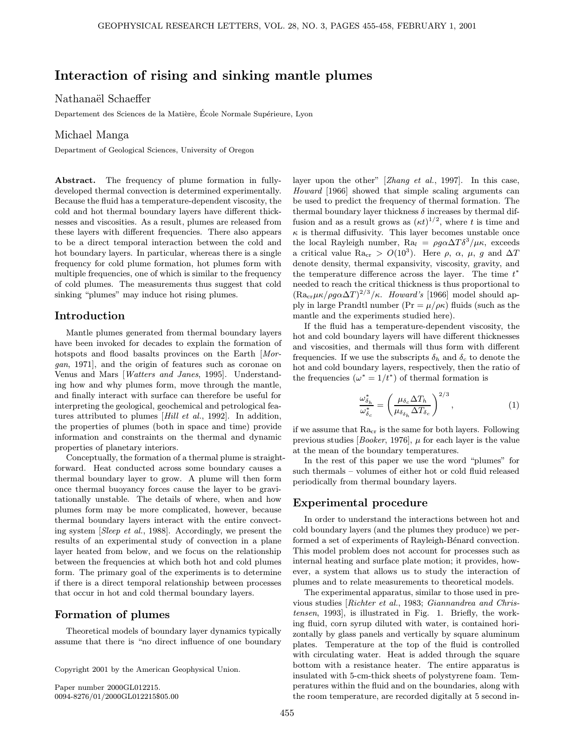# Interaction of rising and sinking mantle plumes

nation<br>Departement des Sciences de la Matière, École Normale Supérieure, Lyon

----------- -------g--<br>Department of Geological Sciences, University of Oregon

Abstract. The frequency of plume formation in fullydeveloped thermal convection is determined experimentally. Because the fluid has a temperature-dependent viscosity, the cold and hot thermal boundary layers have different thicknesses and viscosities. As a result, plumes are released from these layers with different frequencies. There also appears to be a direct temporal interaction between the cold and hot boundary layers. In particular, whereas there is a single frequency for cold plume formation, hot plumes form with multiple frequencies, one of which is similar to the frequency of cold plumes. The measurements thus suggest that cold sinking "plumes" may induce hot rising plumes.

## Introduction

Mantle plumes generated from thermal boundary layers have been invoked for decades to explain the formation of hotspots and flood basalts provinces on the Earth [Morgan, 1971], and the origin of features such as coronae on Venus and Mars [Watters and Janes, 1995]. Understanding how and why plumes form, move through the mantle, and finally interact with surface can therefore be useful for interpreting the geological, geochemical and petrological features attributed to plumes [Hill et al., 1992]. In addition, the properties of plumes (both in space and time) provide information and constraints on the thermal and dynamic properties of planetary interiors.

Conceptually, the formation of a thermal plume is straightforward. Heat conducted across some boundary causes a thermal boundary layer to grow. A plume will then form once thermal buoyancy forces cause the layer to be gravitationally unstable. The details of where, when and how plumes form may be more complicated, however, because thermal boundary layers interact with the entire convecting system [Sleep et al., 1988]. Accordingly, we present the results of an experimental study of convection in a plane layer heated from below, and we focus on the relationship between the frequencies at which both hot and cold plumes form. The primary goal of the experiments is to determine if there is a direct temporal relationship between processes that occur in hot and cold thermal boundary layers.

## Formation of plumes

Theoretical models of boundary layer dynamics typically assume that there is "no direct influence of one boundary

Copyright 2001 by the American Geophysical Union.

Paper number 2000GL012215. 0094-8276/01/2000GL012215\$05.00 layer upon the other" [Zhang et al., 1997]. In this case, Howard [1966] showed that simple scaling arguments can be used to predict the frequency of thermal formation. The thermal boundary layer thickness  $\delta$  increases by thermal diffusion and as a result grows as  $(\kappa t)^{1/2}$ , where t is time and  $\kappa$  is thermal diffusivity. This layer becomes unstable once  $\kappa$  is thermal diffusivity. This layer becomes unstable once the local Rayleigh number,  $Ra_l = \rho q \alpha \Delta T \delta^3 / \mu \kappa$ , exceeds a critical value Ra<sub>cr</sub> >  $O(10^3)$ . Here  $\rho$ ,  $\alpha$ ,  $\mu$ , g and  $\Delta T$ denote density, thermal expansivity, viscosity, gravity, and the temperature difference across the layer. The time  $t^*$ <br>needed to reach the critical thickness is thus proportional to needed to reach the critical thickness is thus proportional to  $(\text{Ra}_{\text{cr}}\mu\kappa/\rho g\alpha\Delta T)^{2/3}/\kappa$ . Howard's [1966] model should ap-<br>ply in large Prandtl number (Pr =  $\mu/\alpha$ ) fluids (such as the ply in large Prandtl number  $(\Pr = \mu/\rho \kappa)$  fluids (such as the mantle and the experiments studied here).

If the fluid has a temperature-dependent viscosity, the hot and cold boundary layers will have different thicknesses and viscosities, and thermals will thus form with different frequencies. If we use the subscripts  $\delta_h$  and  $\delta_c$  to denote the hot and cold boundary layers, respectively, then the ratio of the frequencies ( $\omega^* = 1/t^*$ ) of thermal formation is

$$
\frac{\omega_{\delta_h}^*}{\omega_{\delta_c}^*} = \left(\frac{\mu_{\delta_c} \Delta T_h}{\mu_{\delta_{\delta_h}} \Delta T_{\delta_c}}\right)^{2/3},\tag{1}
$$

if we assume that Racr is the same for both layers. Following previous studies  $[Booker, 1976]$ ,  $\mu$  for each layer is the value at the mean of the boundary temperatures.

In the rest of this paper we use the word "plumes" for such thermals – volumes of either hot or cold fluid released periodically from thermal boundary layers.

## Experimental procedure

In order to understand the interactions between hot and cold boundary layers (and the plumes they produce) we performed a set of experiments of Rayleigh-Bénard convection. This model problem does not account for processes such as internal heating and surface plate motion; it provides, however, a system that allows us to study the interaction of plumes and to relate measurements to theoretical models.

The experimental apparatus, similar to those used in previous studies [Richter et al., 1983; Giannandrea and Christensen, 1993], is illustrated in Fig. 1. Briefly, the working fluid, corn syrup diluted with water, is contained horizontally by glass panels and vertically by square aluminum plates. Temperature at the top of the fluid is controlled with circulating water. Heat is added through the square bottom with a resistance heater. The entire apparatus is insulated with 5-cm-thick sheets of polystyrene foam. Temperatures within the fluid and on the boundaries, along with the room temperature, are recorded digitally at 5 second in-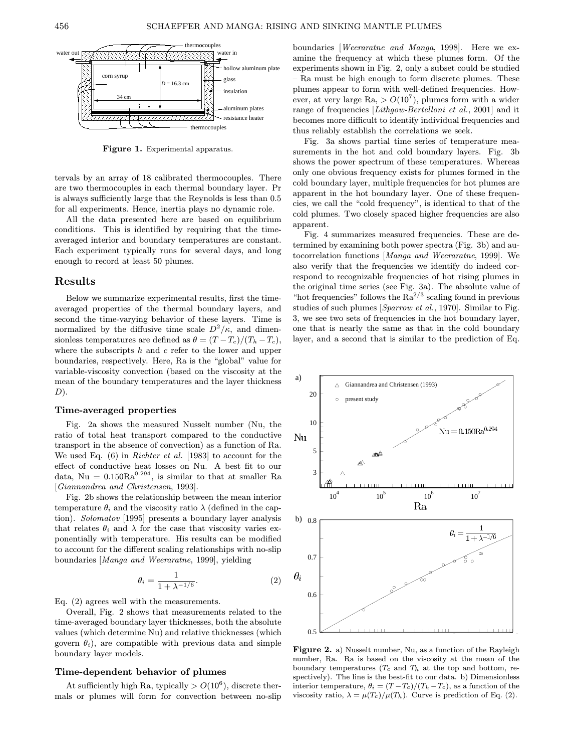

Figure 1. Experimental apparatus.

tervals by an array of 18 calibrated thermocouples. There are two thermocouples in each thermal boundary layer. Pr is always sufficiently large that the Reynolds is less than 0.5 for all experiments. Hence, inertia plays no dynamic role.

All the data presented here are based on equilibrium conditions. This is identified by requiring that the timeaveraged interior and boundary temperatures are constant. Each experiment typically runs for several days, and long enough to record at least 50 plumes.

## Results

Below we summarize experimental results, first the timeaveraged properties of the thermal boundary layers, and second the time-varying behavior of these layers. Time is normalized by the diffusive time scale  $D^2/\kappa$ , and dimensionless temperatures are defined as  $\theta = (T - T_c)/(T_h - T_c)$ , where the subscripts  $h$  and  $c$  refer to the lower and upper boundaries, respectively. Here, Ra is the "global" value for variable-viscosity convection (based on the viscosity at the mean of the boundary temperatures and the layer thickness  $D$ ).

#### Time-averaged properties

Fig. 2a shows the measured Nusselt number (Nu, the ratio of total heat transport compared to the conductive transport in the absence of convection) as a function of Ra. We used Eq. (6) in Richter et al. [1983] to account for the effect of conductive heat losses on Nu. A best fit to our data, Nu =  $0.150Ra^{0.294}$ , is similar to that at smaller Ra [Giannandrea and Christensen, 1993].

Fig. 2b shows the relationship between the mean interior temperature  $\theta_i$  and the viscosity ratio  $\lambda$  (defined in the caption). Solomatov [1995] presents a boundary layer analysis that relates  $\theta_i$  and  $\lambda$  for the case that viscosity varies exponentially with temperature. His results can be modified to account for the different scaling relationships with no-slip boundaries [Manga and Weeraratne, 1999], yielding

$$
\theta_i = \frac{1}{1 + \lambda^{-1/6}}.\tag{2}
$$

Eq. (2) agrees well with the measurements.

Overall, Fig. 2 shows that measurements related to the time-averaged boundary layer thicknesses, both the absolute values (which determine Nu) and relative thicknesses (which govern  $\theta_i$ ), are compatible with previous data and simple boundary layer models.

### Time-dependent behavior of plumes

At sufficiently high Ra, typically  $> O(10^6)$ , discrete thermals or plumes will form for convection between no-slip boundaries [Weeraratne and Manga, 1998]. Here we examine the frequency at which these plumes form. Of the experiments shown in Fig. 2, only a subset could be studied – Ra must be high enough to form discrete plumes. These plumes appear to form with well-defined frequencies. However, at very large  $Ra$ ,  $> O(10^7)$ , plumes form with a wider range of frequencies [Lithgow-Bertelloni et al., 2001] and it becomes more difficult to identify individual frequencies and thus reliably establish the correlations we seek.

Fig. 3a shows partial time series of temperature measurements in the hot and cold boundary layers. Fig. 3b shows the power spectrum of these temperatures. Whereas only one obvious frequency exists for plumes formed in the cold boundary layer, multiple frequencies for hot plumes are apparent in the hot boundary layer. One of these frequencies, we call the "cold frequency", is identical to that of the cold plumes. Two closely spaced higher frequencies are also apparent.

Fig. 4 summarizes measured frequencies. These are determined by examining both power spectra (Fig. 3b) and autocorrelation functions [Manga and Weeraratne, 1999]. We also verify that the frequencies we identify do indeed correspond to recognizable frequencies of hot rising plumes in the original time series (see Fig. 3a). The absolute value of "hot frequencies" follows the  $Ra^{2/3}$  scaling found in previous studies of such plumes [Sparrow et al., 1970]. Similar to Fig. 3, we see two sets of frequencies in the hot boundary layer, one that is nearly the same as that in the cold boundary layer, and a second that is similar to the prediction of Eq.



Figure 2. a) Nusselt number, Nu, as a function of the Rayleigh number, Ra. Ra is based on the viscosity at the mean of the boundary temperatures  $(T_c \text{ and } T_h$  at the top and bottom, respectively). The line is the best-fit to our data. b) Dimensionless interior temperature,  $\theta_i = (T - T_c)/(T_h - T_c)$ , as a function of the viscosity ratio,  $\lambda = \mu(T_c)/\mu(T_h)$ . Curve is prediction of Eq. (2).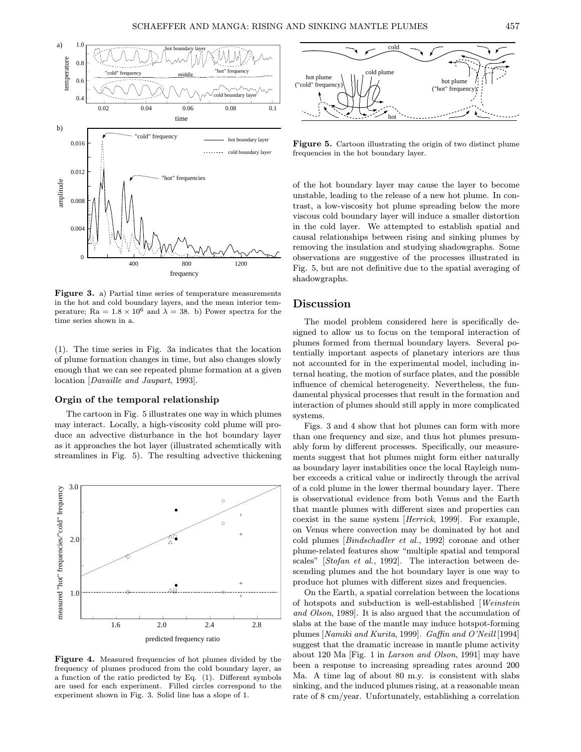

Figure 3. a) Partial time series of temperature measurements in the hot and cold boundary layers, and the mean interior temperature; Ra =  $1.8 \times 10^6$  and  $\lambda = 38$ . b) Power spectra for the time series shown in a.

(1). The time series in Fig. 3a indicates that the location of plume formation changes in time, but also changes slowly enough that we can see repeated plume formation at a given location [Davaille and Jaupart, 1993].

### Orgin of the temporal relationship

The cartoon in Fig. 5 illustrates one way in which plumes may interact. Locally, a high-viscosity cold plume will produce an advective disturbance in the hot boundary layer as it approaches the hot layer (illustrated schemtically with streamlines in Fig. 5). The resulting advective thickening



Figure 4. Measured frequencies of hot plumes divided by the frequency of plumes produced from the cold boundary layer, as a function of the ratio predicted by Eq. (1). Different symbols are used for each experiment. Filled circles correspond to the experiment shown in Fig. 3. Solid line has a slope of 1.



Figure 5. Cartoon illustrating the origin of two distinct plume frequencies in the hot boundary layer.

of the hot boundary layer may cause the layer to become unstable, leading to the release of a new hot plume. In contrast, a low-viscosity hot plume spreading below the more viscous cold boundary layer will induce a smaller distortion in the cold layer. We attempted to establish spatial and causal relationships between rising and sinking plumes by removing the insulation and studying shadowgraphs. Some observations are suggestive of the processes illustrated in Fig. 5, but are not definitive due to the spatial averaging of shadowgraphs.

## Discussion

The model problem considered here is specifically designed to allow us to focus on the temporal interaction of plumes formed from thermal boundary layers. Several potentially important aspects of planetary interiors are thus not accounted for in the experimental model, including internal heating, the motion of surface plates, and the possible influence of chemical heterogeneity. Nevertheless, the fundamental physical processes that result in the formation and interaction of plumes should still apply in more complicated systems.

Figs. 3 and 4 show that hot plumes can form with more than one frequency and size, and thus hot plumes presumably form by different processes. Specifically, our measurements suggest that hot plumes might form either naturally as boundary layer instabilities once the local Rayleigh number exceeds a critical value or indirectly through the arrival of a cold plume in the lower thermal boundary layer. There is observational evidence from both Venus and the Earth that mantle plumes with different sizes and properties can coexist in the same system [Herrick, 1999]. For example, on Venus where convection may be dominated by hot and cold plumes [Bindschadler et al., 1992] coronae and other plume-related features show "multiple spatial and temporal scales" [Stofan et al., 1992]. The interaction between descending plumes and the hot boundary layer is one way to produce hot plumes with different sizes and frequencies.

On the Earth, a spatial correlation between the locations of hotspots and subduction is well-established [Weinstein and Olson, 1989]. It is also argued that the accumulation of slabs at the base of the mantle may induce hotspot-forming plumes [Namiki and Kurita, 1999]. Gaffin and O'Neill [1994] suggest that the dramatic increase in mantle plume activity about 120 Ma [Fig. 1 in Larson and Olson, 1991] may have been a response to increasing spreading rates around 200 Ma. A time lag of about 80 m.y. is consistent with slabs sinking, and the induced plumes rising, at a reasonable mean rate of 8 cm/year. Unfortunately, establishing a correlation